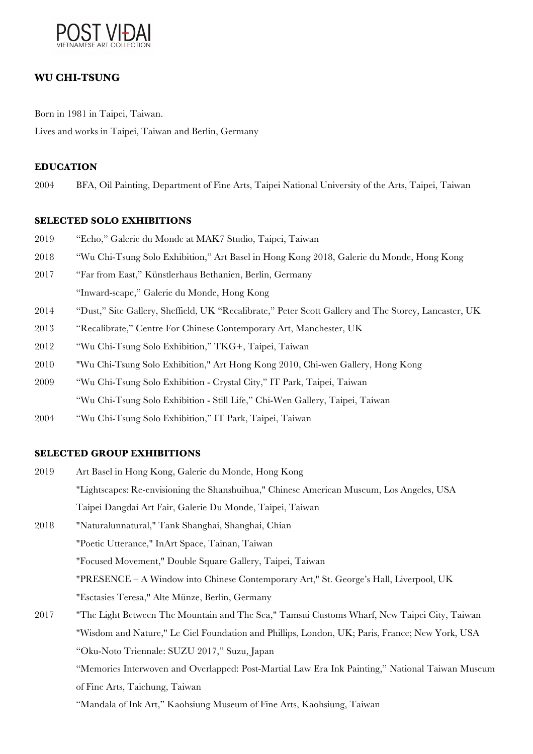

# **WU CHI-TSUNG**

Born in 1981 in Taipei, Taiwan. Lives and works in Taipei, Taiwan and Berlin, Germany

## **EDUCATION**

2004 BFA, Oil Painting, Department of Fine Arts, Taipei National University of the Arts, Taipei, Taiwan

#### **SELECTED SOLO EXHIBITIONS**

- 2019 "Echo," Galerie du Monde at MAK7 Studio, Taipei, Taiwan
- 2018 "Wu Chi-Tsung Solo Exhibition," Art Basel in Hong Kong 2018, Galerie du Monde, Hong Kong
- 2017 "Far from East," Künstlerhaus Bethanien, Berlin, Germany "Inward-scape," Galerie du Monde, Hong Kong
- 2014 "Dust," Site Gallery, Sheffield, UK "Recalibrate," Peter Scott Gallery and The Storey, Lancaster, UK
- 2013 "Recalibrate," Centre For Chinese Contemporary Art, Manchester, UK
- 2012 "Wu Chi-Tsung Solo Exhibition," TKG+, Taipei, Taiwan
- 2010 "Wu Chi-Tsung Solo Exhibition," Art Hong Kong 2010, Chi-wen Gallery, Hong Kong
- 2009 "Wu Chi-Tsung Solo Exhibition Crystal City," IT Park, Taipei, Taiwan "Wu Chi-Tsung Solo Exhibition - Still Life," Chi-Wen Gallery, Taipei, Taiwan
- 2004 "Wu Chi-Tsung Solo Exhibition," IT Park, Taipei, Taiwan

#### **SELECTED GROUP EXHIBITIONS**

2019 Art Basel in Hong Kong, Galerie du Monde, Hong Kong "Lightscapes: Re-envisioning the Shanshuihua," Chinese American Museum, Los Angeles, USA Taipei Dangdai Art Fair, Galerie Du Monde, Taipei, Taiwan 2018 "Naturalunnatural," Tank Shanghai, Shanghai, Chian "Poetic Utterance," InArt Space, Tainan, Taiwan "Focused Movement," Double Square Gallery, Taipei, Taiwan "PRESENCE – A Window into Chinese Contemporary Art," St. George's Hall, Liverpool, UK "Esctasies Teresa," Alte Münze, Berlin, Germany 2017 "The Light Between The Mountain and The Sea," Tamsui Customs Wharf, New Taipei City, Taiwan "Wisdom and Nature," Le Ciel Foundation and Phillips, London, UK; Paris, France; New York, USA "Oku-Noto Triennale: SUZU 2017," Suzu, Japan "Memories Interwoven and Overlapped: Post-Martial Law Era Ink Painting," National Taiwan Museum of Fine Arts, Taichung, Taiwan "Mandala of Ink Art," Kaohsiung Museum of Fine Arts, Kaohsiung, Taiwan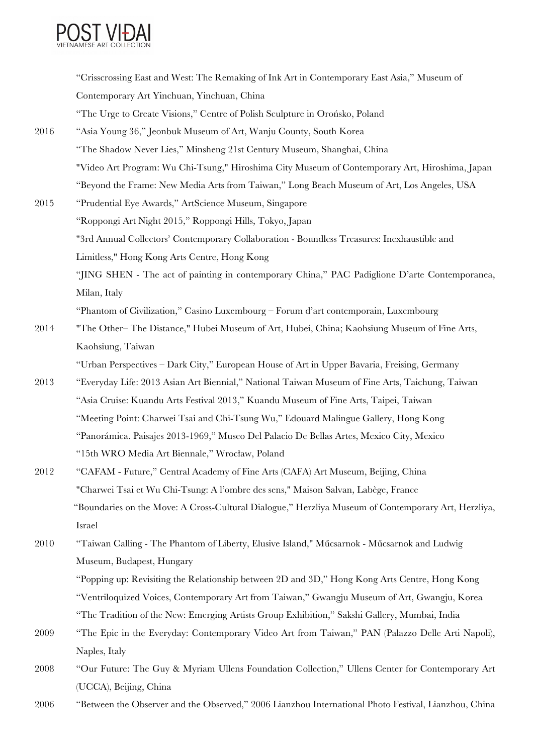

|      | "Crisscrossing East and West: The Remaking of Ink Art in Contemporary East Asia," Museum of         |
|------|-----------------------------------------------------------------------------------------------------|
|      | Contemporary Art Yinchuan, Yinchuan, China                                                          |
|      | "The Urge to Create Visions," Centre of Polish Sculpture in Orońsko, Poland                         |
| 2016 | "Asia Young 36," Jeonbuk Museum of Art, Wanju County, South Korea                                   |
|      | "The Shadow Never Lies," Minsheng 21st Century Museum, Shanghai, China                              |
|      | "Video Art Program: Wu Chi-Tsung," Hiroshima City Museum of Contemporary Art, Hiroshima, Japan      |
|      | "Beyond the Frame: New Media Arts from Taiwan," Long Beach Museum of Art, Los Angeles, USA          |
| 2015 | "Prudential Eye Awards," ArtScience Museum, Singapore                                               |
|      | "Roppongi Art Night 2015," Roppongi Hills, Tokyo, Japan                                             |
|      | "3rd Annual Collectors' Contemporary Collaboration - Boundless Treasures: Inexhaustible and         |
|      | Limitless," Hong Kong Arts Centre, Hong Kong                                                        |
|      | "JING SHEN - The act of painting in contemporary China," PAC Padiglione D'arte Contemporanea,       |
|      | Milan, Italy                                                                                        |
|      | "Phantom of Civilization," Casino Luxembourg – Forum d'art contemporain, Luxembourg                 |
| 2014 | "The Other-The Distance," Hubei Museum of Art, Hubei, China; Kaohsiung Museum of Fine Arts,         |
|      | Kaohsiung, Taiwan                                                                                   |
|      | "Urban Perspectives – Dark City," European House of Art in Upper Bavaria, Freising, Germany         |
| 2013 | "Everyday Life: 2013 Asian Art Biennial," National Taiwan Museum of Fine Arts, Taichung, Taiwan     |
|      | "Asia Cruise: Kuandu Arts Festival 2013," Kuandu Museum of Fine Arts, Taipei, Taiwan                |
|      | "Meeting Point: Charwei Tsai and Chi-Tsung Wu," Edouard Malingue Gallery, Hong Kong                 |
|      | "Panorámica. Paisajes 2013-1969," Museo Del Palacio De Bellas Artes, Mexico City, Mexico            |
|      | "15th WRO Media Art Biennale," Wrocław, Poland                                                      |
| 2012 | "CAFAM - Future," Central Academy of Fine Arts (CAFA) Art Museum, Beijing, China                    |
|      | "Charwei Tsai et Wu Chi-Tsung: A l'ombre des sens," Maison Salvan, Labège, France                   |
|      | "Boundaries on the Move: A Cross-Cultural Dialogue," Herzliya Museum of Contemporary Art, Herzliya, |
|      | Israel                                                                                              |
| 2010 | "Taiwan Calling - The Phantom of Liberty, Elusive Island," Műcsarnok - Műcsarnok and Ludwig         |
|      | Museum, Budapest, Hungary                                                                           |
|      | "Popping up: Revisiting the Relationship between 2D and 3D," Hong Kong Arts Centre, Hong Kong       |
|      | "Ventriloquized Voices, Contemporary Art from Taiwan," Gwangju Museum of Art, Gwangju, Korea        |
|      | "The Tradition of the New: Emerging Artists Group Exhibition," Sakshi Gallery, Mumbai, India        |
| 2009 | "The Epic in the Everyday: Contemporary Video Art from Taiwan," PAN (Palazzo Delle Arti Napoli),    |
|      | Naples, Italy                                                                                       |

2008 "Our Future: The Guy & Myriam Ullens Foundation Collection," Ullens Center for Contemporary Art (UCCA), Beijing, China

2006 "Between the Observer and the Observed," 2006 Lianzhou International Photo Festival, Lianzhou, China